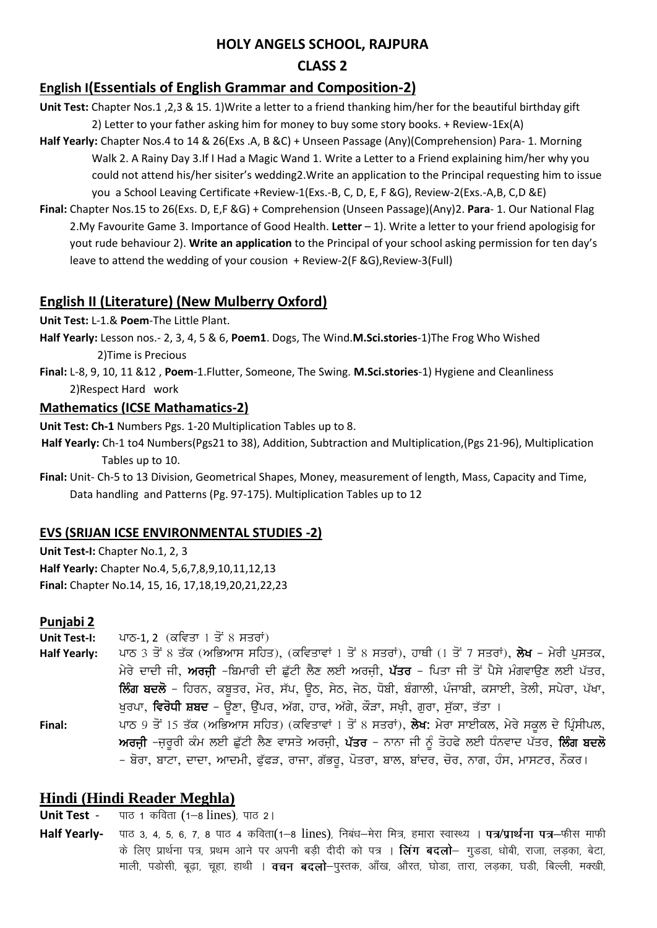### **HOLY ANGELS SCHOOL, RAJPURA**

## **CLASS 2**

# **English I(Essentials of English Grammar and Composition-2)**

- **Unit Test:** Chapter Nos.1 ,2,3 & 15. 1)Write a letter to a friend thanking him/her for the beautiful birthday gift 2) Letter to your father asking him for money to buy some story books. + Review-1Ex(A)
- **Half Yearly:** Chapter Nos.4 to 14 & 26(Exs .A, B &C) + Unseen Passage (Any)(Comprehension) Para- 1. Morning Walk 2. A Rainy Day 3.If I Had a Magic Wand 1. Write a Letter to a Friend explaining him/her why you could not attend his/her sisiter's wedding2.Write an application to the Principal requesting him to issue you a School Leaving Certificate +Review-1(Exs.-B, C, D, E, F &G), Review-2(Exs.-A,B, C,D &E)
- **Final:** Chapter Nos.15 to 26(Exs. D, E,F &G) + Comprehension (Unseen Passage)(Any)2. **Para** 1. Our National Flag 2.My Favourite Game 3. Importance of Good Health. **Letter** – 1). Write a letter to your friend apologisig for yout rude behaviour 2). **Write an application** to the Principal of your school asking permission for ten day's leave to attend the wedding of your cousion + Review-2(F &G),Review-3(Full)

## **English II (Literature) (New Mulberry Oxford)**

**Unit Test:** L-1.& **Poem**-The Little Plant.

**Half Yearly:** Lesson nos.- 2, 3, 4, 5 & 6, **Poem1**. Dogs, The Wind.**M.Sci.stories**-1)The Frog Who Wished 2)Time is Precious

**Final:** L-8, 9, 10, 11 &12 , **Poem**-1.Flutter, Someone, The Swing. **M.Sci.stories**-1) Hygiene and Cleanliness 2)Respect Hard work

### **Mathematics (ICSE Mathamatics-2)**

**Unit Test: Ch-1** Numbers Pgs. 1-20 Multiplication Tables up to 8.

- **Half Yearly:** Ch-1 to4 Numbers(Pgs21 to 38), Addition, Subtraction and Multiplication,(Pgs 21-96), Multiplication Tables up to 10.
- **Final:** Unit- Ch-5 to 13 Division, Geometrical Shapes, Money, measurement of length, Mass, Capacity and Time, Data handling and Patterns (Pg. 97-175). Multiplication Tables up to 12

### **EVS (SRIJAN ICSE ENVIRONMENTAL STUDIES -2)**

**Unit Test-I:** Chapter No.1, 2, 3 **Half Yearly:** Chapter No.4, 5,6,7,8,9,10,11,12,13 **Final:** Chapter No.14, 15, 16, 17,18,19,20,21,22,23

### **Punjabi 2**

**Unit Test-I:** ਪਾਠ-1, 2 (ਕਵਿਤਾ 1 ਤੋਂ 8 ਸਤਰਾਂ)

- **Half Yearly:** ਪਾਠ 3 ਤੋਂ 8 ਤੱਕ (ਅਭਿਆਸ ਸਹਿਤ), (ਕਵਿਤਾਵਾਂ 1 ਤੋਂ 8 ਸਤਰਾਂ), ਹਾਥੀ (1 ਤੋਂ 7 ਸਤਰਾਂ), **ਲੇਖ** ਮੇਰੀ ਪਸਤਕ, ਮੇਰੇ ਦਾਦੀ ਜੀ, ਅਰਜੀ –ਬਿਮਾਰੀ ਦੀ ਛੁੱਟੀ ਲੈਣ ਲਈ ਅਰਜੀ, ਪੱਤਰ – ਪਿਤਾ ਜੀ ਤੋਂ ਪੈਸੇ ਮੰਗਵਾੳਣ ਲਈ ਪੱਤਰ, <mark>ਲਿੰਗ ਬਦਲੋ</mark> – ਹਿਰਨ, ਕਬੂਤਰ, ਮੋਰ, ਸੱਪ, ਉਠ, ਸੇਠ, ਜੇਠ, ਧੋਬੀ, ਬੰਗਾਲੀ, ਪੰਜਾਬੀ, ਕਸਾਈ, ਤੇਲੀ, ਸਪੇਰਾ, ਪੱਖਾ, ਖੁਰਪਾ, **ਵਿਰੋਧੀ ਸ਼ਬਦ** – ਉਣਾ, ਉੱਪਰ, ਅੱਗ, ਹਾਰ, ਅੱਗੇ, ਕੌੜਾ, ਸਖ਼ੀ, ਗ਼ਰਾ, ਸੁੱਕਾ, ਤੱਤਾ ।
- Final: ਪਾਠ 9 ਤੋਂ 15 ਤੱਕ (ਅਭਿਆਸ ਸਹਿਤ) (ਕਵਿਤਾਵਾਂ 1 ਤੋਂ 8 ਸਤਰਾਂ), ਲੇਖ: ਮੇਰਾ ਸਾਈਕਲ, ਮੇਰੇ ਸਕੂਲ ਦੇ ਪ੍ਰਿੰਸੀਪਲ, ਅਰਜੀ –ਜਰੂਰੀ ਕੰਮ ਲਈ ਛੁੱਟੀ ਲੈਣ ਵਾਸਤੇ ਅਰਜੀ, ਪੱਤਰ – ਨਾਨਾ ਜੀ ਨੂੰ ਤੋਹਫੇ ਲਈ ਧੰਨਵਾਦ ਪੱਤਰ, **ਲਿੰਗ ਬਦਲੋ** – ਬੋਰਾ, ਬਾਟਾ, ਦਾਦਾ, ਆਦਮੀ, ਫੁੱਫੜ, ਰਾਜਾ, ਗੱਭਰੂ, ਪੋਤਰਾ, ਬਾਲ, ਬਾਂਦਰ, ਚੋਰ, ਨਾਗ, ਹੰਸ, ਮਾਸਟਰ, ਨੌਕਰ।

# **Hindi (Hindi Reader Meghla)**

**Unit Test** - पाठ 1 कविता (1-8 lines), पाठ 2।

Half Yearly- पाठ 3, 4, 5, 6, 7, 8 पाठ 4 कविता(1-8 lines), निबंध-मेरा मित्र, हमारा स्वास्थ्य । पत्र/प्रार्थना पत्र-फीस माफी के लिए प्रार्थना पत्र, प्रथम आने पर अपनी बड़ी दीदी को पत्र । **लिंग बदलो**– गुडड़ा, धोबी, राजा, लडका, बेटा, माली, पडोसी, बूढ़ा, चूहा, हाथी । **वचन बदलो**—पुस्तक, आँख, औरत, घोडा, तारा, लड़का, घडी, बिल्ली, मक्खी,